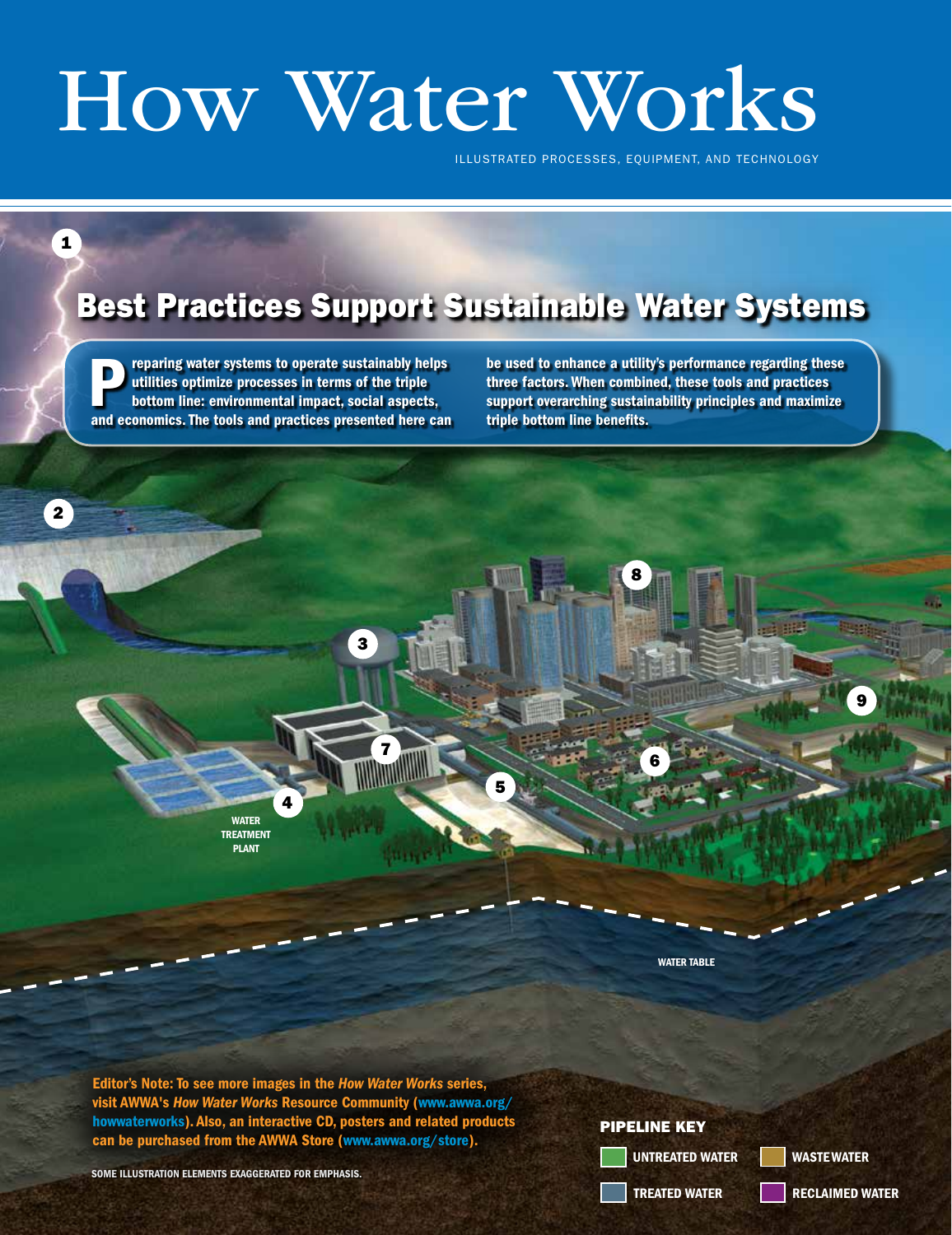## How Water Works

ILLUSTRATED PROCESSES, EQUIPMENT, AND TECHNOLOGY

## Best Practices Support Sustainable Water Systems

reparing water systems to operate sustainably helps utilities optimize processes in terms of the triple bottom line: environmental impact, social aspects, **EXECUTE:** The tools and processes in terms of the triple<br>bottom line: environmental impact, social aspects,<br>and economics. The tools and practices presented here can

1

be used to enhance a utility's performance regarding these three factors. When combined, these tools and practices support overarching sustainability principles and maximize triple bottom line benefits.



Editor's Note: To see more images in the *How Water Works* series, visit AWWA's *How Water Works* Resource Community (www.awwa.org/ howwaterworks). Also, an interactive CD, posters and related products can be purchased from the AWWA Store (www.awwa.org/store).

SOME ILLUSTRATION ELEMENTS EXAGGERATED FOR EMPHASIS.

## PIPELINE KEY

UNTREATED WATER

WASTE WATER

22 Option February 2017 www.awwa.org/opflow February 2017 www.awwa.org/opflow 2017 @ American Water Water Water<br>The contract Works Association Water Works Association Water Works Association Water Works Association Water W TREATED WATER

RECLAIMED WATER